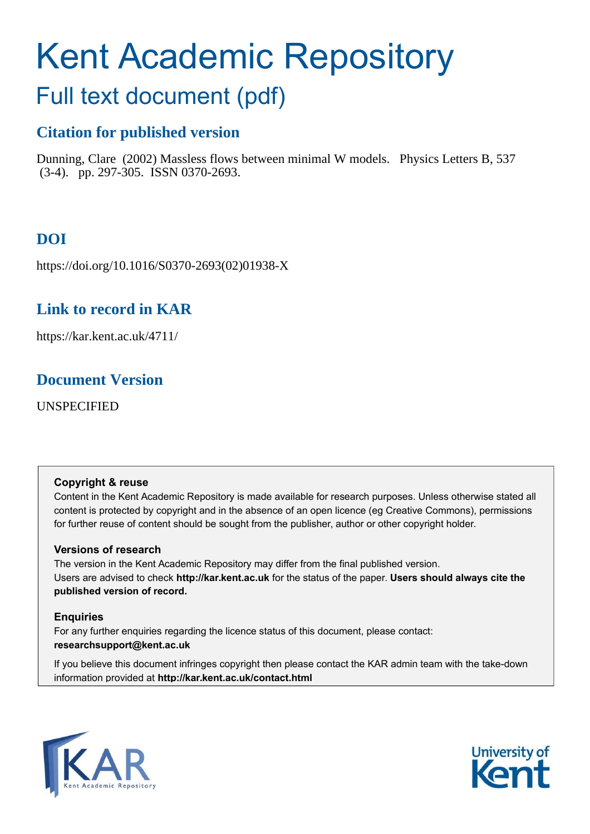# <span id="page-0-0"></span>Kent Academic Repository Full text document (pdf)

## **Citation for published version**

Dunning, Clare (2002) Massless flows between minimal W models. Physics Letters B, 537 (3-4). pp. 297-305. ISSN 0370-2693.

## **DOI**

https://doi.org/10.1016/S0370-2693(02)01938-X

## **Link to record in KAR**

https://kar.kent.ac.uk/4711/

## **Document Version**

UNSPECIFIED

#### **Copyright & reuse**

Content in the Kent Academic Repository is made available for research purposes. Unless otherwise stated all content is protected by copyright and in the absence of an open licence (eg Creative Commons), permissions for further reuse of content should be sought from the publisher, author or other copyright holder.

#### **Versions of research**

The version in the Kent Academic Repository may differ from the final published version. Users are advised to check **http://kar.kent.ac.uk** for the status of the paper. **Users should always cite the published version of record.**

### **Enquiries**

For any further enquiries regarding the licence status of this document, please contact: **researchsupport@kent.ac.uk**

If you believe this document infringes copyright then please contact the KAR admin team with the take-down information provided at **http://kar.kent.ac.uk/contact.html**



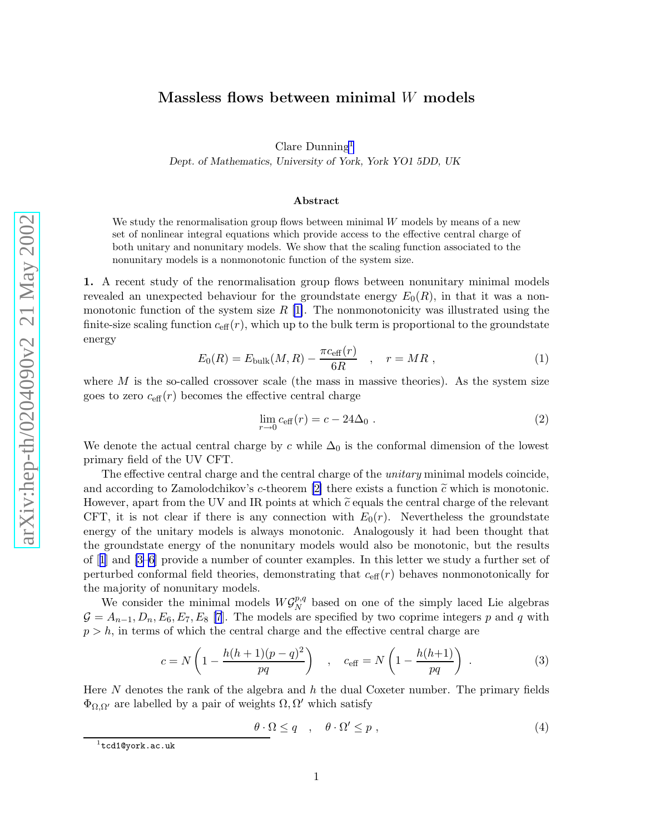## <span id="page-1-0"></span>Massless flows between minimal W models

Clare Dunning [1](#page-0-0) Dept. of Mathematics, University of York, York YO1 5DD, UK

#### Abstract

We study the renormalisation group flows between minimal W models by means of a new set of nonlinear integral equations which provide access to the effective central charge of both unitary and nonunitary models. We show that the scaling function associated to the nonunitary models is a nonmonotonic function of the system size.

1. A recent study of the renormalisation group flows between nonunitary minimal models revealed an unexpected behaviour for the groundstate energy  $E_0(R)$ , in that it was a nonmonotonic function of the system size  $R$  [\[1\]](#page-9-0). The nonmonotonicity was illustrated using the finite-size scaling function  $c_{\text{eff}}(r)$ , which up to the bulk term is proportional to the groundstate energy

$$
E_0(R) = E_{\text{bulk}}(M, R) - \frac{\pi c_{\text{eff}}(r)}{6R} \quad , \quad r = MR \; , \tag{1}
$$

where  $M$  is the so-called crossover scale (the mass in massive theories). As the system size goes to zero  $c_{\text{eff}}(r)$  becomes the effective central charge

$$
\lim_{r \to 0} c_{\text{eff}}(r) = c - 24\Delta_0 \tag{2}
$$

We denote the actual central charge by c while  $\Delta_0$  is the conformal dimension of the lowest primary field of the UV CFT.

The effective central charge and the central charge of the *unitary* minimal models coincide, and according to Zamolodchikov's c-theorem [\[2\]](#page-9-0) there exists a function  $\tilde{c}$  which is monotonic. However, apart from the UV and IR points at which  $\tilde{c}$  equals the central charge of the relevant CFT, it is not clear if there is any connection with  $E_0(r)$ . Nevertheless the groundstate energy of the unitary models is always monotonic. Analogously it had been thought that the groundstate energy of the nonunitary models would also be monotonic, but the results of[[1\]](#page-9-0) and [\[3–6\]](#page-9-0) provide a number of counter examples. In this letter we study a further set of perturbed conformal field theories, demonstrating that  $c_{\text{eff}}(r)$  behaves nonmonotonically for the majority of nonunitary models.

We consider the minimal models  $W{\mathcal G}_N^{p,q}$  $\frac{p,q}{N}$  based on one of the simply laced Lie algebras  $G = A_{n-1}, D_n, E_6, E_7, E_8$  [\[7](#page-9-0)]. The models are specified by two coprime integers p and q with  $p > h$ , in terms of which the central charge and the effective central charge are

$$
c = N \left( 1 - \frac{h(h+1)(p-q)^2}{pq} \right) , \quad c_{\text{eff}} = N \left( 1 - \frac{h(h+1)}{pq} \right) .
$$
 (3)

Here N denotes the rank of the algebra and h the dual Coxeter number. The primary fields  $\Phi_{\Omega,\Omega'}$  are labelled by a pair of weights  $\Omega,\Omega'$  which satisfy

$$
\theta \cdot \Omega \le q \quad , \quad \theta \cdot \Omega' \le p \tag{4}
$$

 $^{\rm 1}$ tcd1@york.ac.uk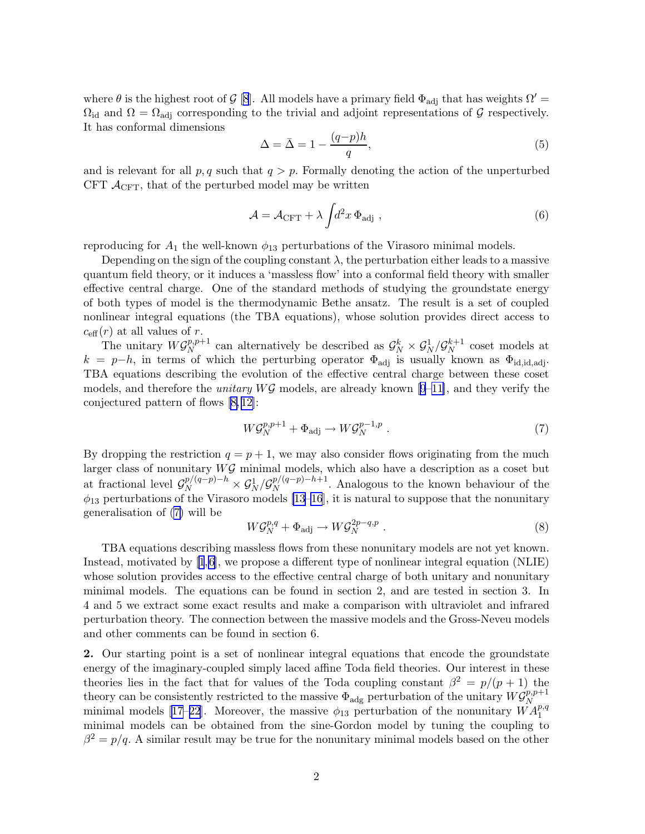<span id="page-2-0"></span>where  $\theta$  is the highest root of G [\[8](#page-9-0)]. All models have a primary field  $\Phi_{\text{adj}}$  that has weights  $\Omega' =$  $\Omega_{\rm id}$  and  $\Omega = \Omega_{\rm adj}$  corresponding to the trivial and adjoint representations of G respectively. It has conformal dimensions

$$
\Delta = \bar{\Delta} = 1 - \frac{(q-p)h}{q},\tag{5}
$$

and is relevant for all  $p, q$  such that  $q > p$ . Formally denoting the action of the unperturbed CFT  $\mathcal{A}_{CFT}$ , that of the perturbed model may be written

$$
\mathcal{A} = \mathcal{A}_{\rm CFT} + \lambda \int d^2 x \, \Phi_{\rm adj} \,, \tag{6}
$$

reproducing for  $A_1$  the well-known  $\phi_{13}$  perturbations of the Virasoro minimal models.

Depending on the sign of the coupling constant  $\lambda$ , the perturbation either leads to a massive quantum field theory, or it induces a 'massless flow' into a conformal field theory with smaller effective central charge. One of the standard methods of studying the groundstate energy of both types of model is the thermodynamic Bethe ansatz. The result is a set of coupled nonlinear integral equations (the TBA equations), whose solution provides direct access to  $c_{\text{eff}}(r)$  at all values of r.

The unitary  $W\mathcal{G}_N^{p,p+1}$  $S_N^{p,p+1}$  can alternatively be described as  $\mathcal{G}_N^k \times \mathcal{G}_N^1 / \mathcal{G}_N^{k+1}$  $N^{k+1}$  coset models at  $k = p-h$ , in terms of which the perturbing operator  $\Phi_{\text{adj}}$  is usually known as  $\Phi_{\text{id},\text{id},\text{adj}}$ . TBA equations describing the evolution of the effective central charge between these coset models, and therefore the *unitary*  $W\mathcal{G}$  models, are already known [\[9](#page-9-0)–[11\]](#page-10-0), and they verify the conjectured pattern of flows [\[8,](#page-9-0) [12\]](#page-10-0):

$$
W\mathcal{G}_N^{p,p+1} + \Phi_{\text{adj}} \to W\mathcal{G}_N^{p-1,p} . \tag{7}
$$

By dropping the restriction  $q = p + 1$ , we may also consider flows originating from the much larger class of nonunitary  $W\mathcal{G}$  minimal models, which also have a description as a coset but at fractional level  $\mathcal{G}_N^{p/(q-p)-h} \times \mathcal{G}_N^1/\mathcal{G}_N^{p/(q-p)-h+1}$  $N^{p/(q-p)-n+1}$ . Analogous to the known behaviour of the  $\phi_{13}$  perturbations of the Virasoro models [\[13–16](#page-10-0)], it is natural to suppose that the nonunitary generalisation of [\(7\)](#page-1-0) will be

$$
W\mathcal{G}_N^{p,q} + \Phi_{\text{adj}} \to W\mathcal{G}_N^{2p-q,p} . \tag{8}
$$

TBA equations describing massless flows from these nonunitary models are not yet known. Instead, motivated by [\[1](#page-9-0),[6\]](#page-9-0), we propose a different type of nonlinear integral equation (NLIE) whose solution provides access to the effective central charge of both unitary and nonunitary minimal models. The equations can be found in section 2, and are tested in section 3. In 4 and 5 we extract some exact results and make a comparison with ultraviolet and infrared perturbation theory. The connection between the massive models and the Gross-Neveu models and other comments can be found in section 6.

2. Our starting point is a set of nonlinear integral equations that encode the groundstate energy of the imaginary-coupled simply laced affine Toda field theories. Our interest in these theories lies in the fact that for values of the Toda coupling constant  $\beta^2 = p/(p+1)$  the theory can be consistently restricted to the massive  $\Phi_{\text{adg}}$  perturbation of the unitary  $W\mathcal{G}_{N}^{p,p+1}$ N minimal models [\[17–22](#page-10-0)]. Moreover, the massive  $\phi_{13}$  perturbation of the nonunitary  $\ddot{W}A_1^{p,q}$ minimal models can be obtained from the sine-Gordon model by tuning the coupling to  $\beta^2 = p/q$ . A similar result may be true for the nonunitary minimal models based on the other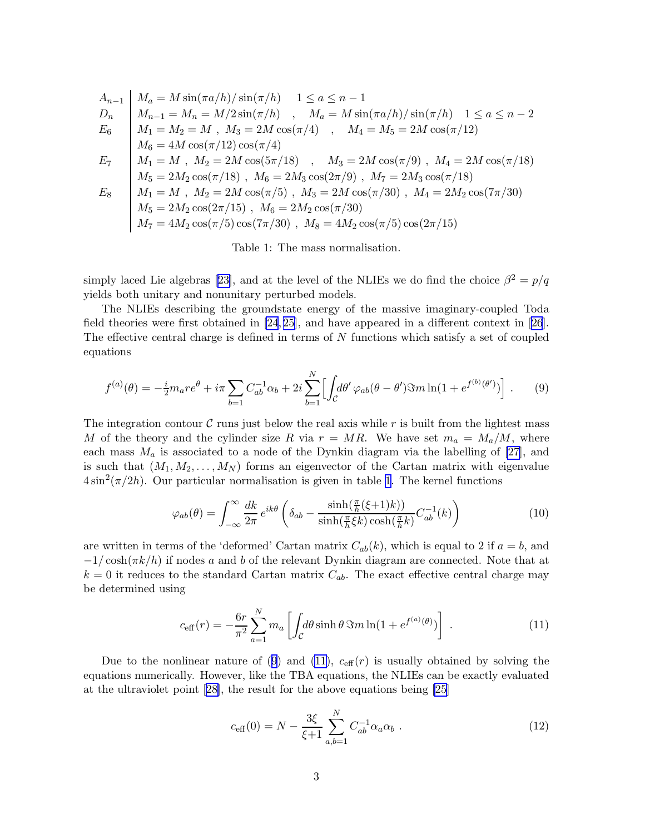<span id="page-3-0"></span>
$$
A_{n-1} \n\begin{cases}\nM_a = M \sin(\pi a/h) / \sin(\pi/h) & 1 \le a \le n-1 \\
M_{n-1} = M_n = M/2 \sin(\pi/h) & , \quad M_a = M \sin(\pi a/h) / \sin(\pi/h) & 1 \le a \le n-2 \\
M_1 = M_2 = M & , \quad M_3 = 2M \cos(\pi/4) & , \quad M_4 = M_5 = 2M \cos(\pi/12) \\
M_6 = 4M \cos(\pi/12) \cos(\pi/4) & , \quad M_3 = 2M \cos(\pi/9) & , \quad M_4 = 2M \cos(\pi/18) \\
M_1 = M & , \quad M_2 = 2M \cos(5\pi/18) & , \quad M_3 = 2M \cos(\pi/9) & , \quad M_4 = 2M \cos(\pi/18) \\
M_5 = 2M_2 \cos(\pi/18) & , \quad M_6 = 2M_3 \cos(2\pi/9) & , \quad M_7 = 2M_3 \cos(\pi/18) \\
M_1 = M & , \quad M_2 = 2M \cos(\pi/5) & , \quad M_3 = 2M \cos(\pi/30) & , \quad M_4 = 2M_2 \cos(7\pi/30) \\
M_5 = 2M_2 \cos(2\pi/15) & , \quad M_6 = 2M_2 \cos(\pi/30) & \\
M_7 = 4M_2 \cos(\pi/5) \cos(7\pi/30) & , \quad M_8 = 4M_2 \cos(\pi/5) \cos(2\pi/15)\n\end{cases}
$$

Table 1: The mass normalisation.

simplylaced Lie algebras [[23\]](#page-10-0), and at the level of the NLIEs we do find the choice  $\beta^2 = p/q$ yields both unitary and nonunitary perturbed models.

The NLIEs describing the groundstate energy of the massive imaginary-coupled Toda field theories were first obtained in [\[24](#page-10-0), [25\]](#page-10-0), and have appeared in a different context in[[26](#page-10-0)]. The effective central charge is defined in terms of N functions which satisfy a set of coupled equations

$$
f^{(a)}(\theta) = -\frac{i}{2}m_a r e^{\theta} + i\pi \sum_{b=1} C_{ab}^{-1} \alpha_b + 2i \sum_{b=1}^N \left[ \int_{\mathcal{C}} d\theta' \varphi_{ab}(\theta - \theta') \Im m \ln(1 + e^{f^{(b)}(\theta')}) \right]. \tag{9}
$$

The integration contour  $\mathcal C$  runs just below the real axis while r is built from the lightest mass M of the theory and the cylinder size R via  $r = MR$ . We have set  $m_a = M_a/M$ , where each mass  $M_a$  is associated to a node of the Dynkin diagram via the labelling of [\[27](#page-10-0)], and is such that  $(M_1, M_2, \ldots, M_N)$  forms an eigenvector of the Cartan matrix with eigenvalue  $4\sin^2(\pi/2h)$ . Our particular normalisation is given in table [1](#page-2-0). The kernel functions

$$
\varphi_{ab}(\theta) = \int_{-\infty}^{\infty} \frac{dk}{2\pi} e^{ik\theta} \left( \delta_{ab} - \frac{\sinh(\frac{\pi}{h}(\xi+1)k))}{\sinh(\frac{\pi}{h}\xi k)\cosh(\frac{\pi}{h}k)} C_{ab}^{-1}(k) \right)
$$
(10)

are written in terms of the 'deformed' Cartan matrix  $C_{ab}(k)$ , which is equal to 2 if  $a = b$ , and  $-1/\cosh(\pi k/h)$  if nodes a and b of the relevant Dynkin diagram are connected. Note that at  $k = 0$  it reduces to the standard Cartan matrix  $C_{ab}$ . The exact effective central charge may be determined using

$$
c_{\text{eff}}(r) = -\frac{6r}{\pi^2} \sum_{a=1}^{N} m_a \left[ \int_{\mathcal{C}} d\theta \sinh \theta \, \Im m \ln(1 + e^{f^{(a)}(\theta)}) \right] \,. \tag{11}
$$

Due to the nonlinear nature of ([9](#page-2-0)) and [\(11\)](#page-2-0),  $c_{\text{eff}}(r)$  is usually obtained by solving the equations numerically. However, like the TBA equations, the NLIEs can be exactly evaluated at the ultraviolet point[[28\]](#page-10-0), the result for the above equations being [\[25\]](#page-10-0)

$$
c_{\text{eff}}(0) = N - \frac{3\xi}{\xi + 1} \sum_{a,b=1}^{N} C_{ab}^{-1} \alpha_a \alpha_b \tag{12}
$$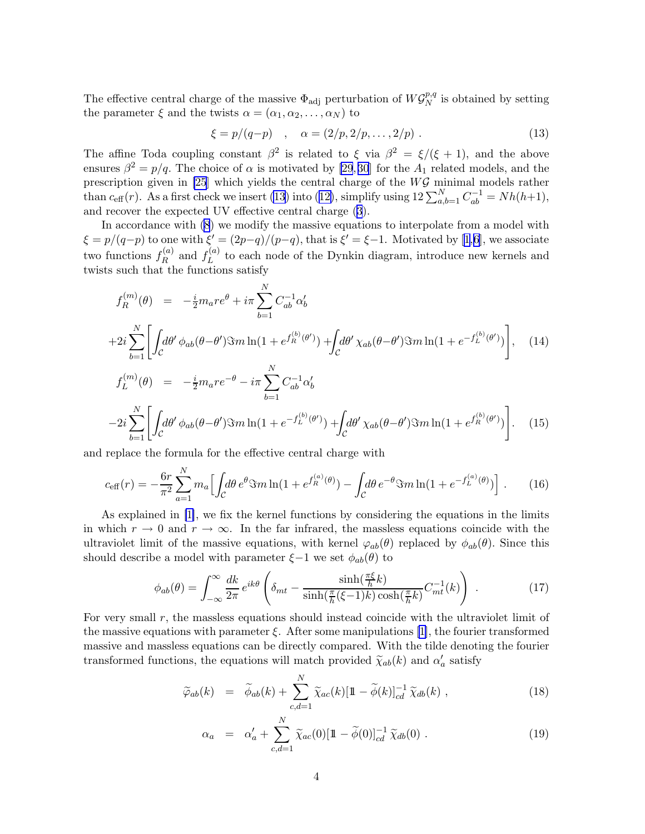<span id="page-4-0"></span>The effective central charge of the massive  $\Phi_{\text{adj}}$  perturbation of  $W\mathcal{G}_N^{p,q}$  $\frac{p,q}{N}$  is obtained by setting the parameter  $\xi$  and the twists  $\alpha = (\alpha_1, \alpha_2, \dots, \alpha_N)$  to

$$
\xi = p/(q-p) \quad , \quad \alpha = (2/p, 2/p, \dots, 2/p) \; . \tag{13}
$$

The affine Toda coupling constant  $\beta^2$  is related to  $\xi$  via  $\beta^2 = \xi/(\xi + 1)$ , and the above ensures  $\beta^2 = p/q$ . The choice of  $\alpha$  is motivated by [\[29](#page-10-0),30] for the  $A_1$  related models, and the prescription given in [\[25](#page-10-0)] which yields the central charge of the WG minimal models rather than  $c_{\text{eff}}(r)$ . As a first check we insert [\(13\)](#page-3-0) into ([12\)](#page-2-0), simplify using  $12\sum_{a,b=1}^{N}C_{ab}^{-1}=Nh(h+1)$ , and recover the expected UV effective central charge ([3](#page-0-0)).

In accordance with ([8](#page-1-0)) we modify the massive equations to interpolate from a model with  $\xi = p/(q-p)$  $\xi = p/(q-p)$  $\xi = p/(q-p)$  to one with  $\xi' = (2p-q)/(p-q)$ , that is  $\xi' = \xi - 1$  $\xi' = \xi - 1$ . Motivated by [1,[6](#page-9-0)], we associate two functions  $f_R^{(a)}$  $f_R^{(a)}$  and  $f_L^{(a)}$  $L^{(u)}$  to each node of the Dynkin diagram, introduce new kernels and twists such that the functions satisfy

$$
f_R^{(m)}(\theta) = -\frac{i}{2} m_a r e^{\theta} + i\pi \sum_{b=1}^N C_{ab}^{-1} \alpha'_b
$$
  
+2i  $\sum_{b=1}^N \left[ \int_C d\theta' \phi_{ab}(\theta - \theta') \Im m \ln(1 + e^{f_R^{(b)}(\theta')}) + \int_C d\theta' \chi_{ab}(\theta - \theta') \Im m \ln(1 + e^{-f_L^{(b)}(\theta')}) \right]$ , (14)  

$$
f_L^{(m)}(\theta) = -\frac{i}{2} m_a r e^{-\theta} - i\pi \sum_{b=1}^N C_{ab}^{-1} \alpha'_b
$$
  
-2i  $\sum_{b=1}^N \left[ \int_C d\theta' \phi_{ab}(\theta - \theta') \Im m \ln(1 + e^{-f_L^{(b)}(\theta')}) + \int_C d\theta' \chi_{ab}(\theta - \theta') \Im m \ln(1 + e^{f_R^{(b)}(\theta')}) \right]$ . (15)

and replace the formula for the effective central charge with

$$
c_{\text{eff}}(r) = -\frac{6r}{\pi^2} \sum_{a=1}^{N} m_a \Big[ \int_{\mathcal{C}} d\theta \, e^{\theta} \Im m \ln(1 + e^{f_R^{(a)}(\theta)}) - \int_{\mathcal{C}} d\theta \, e^{-\theta} \Im m \ln(1 + e^{-f_L^{(a)}(\theta)}) \Big] \,. \tag{16}
$$

As explained in [\[1\]](#page-9-0), we fix the kernel functions by considering the equations in the limits in which  $r \to 0$  and  $r \to \infty$ . In the far infrared, the massless equations coincide with the ultraviolet limit of the massive equations, with kernel  $\varphi_{ab}(\theta)$  replaced by  $\phi_{ab}(\theta)$ . Since this should describe a model with parameter  $\xi-1$  we set  $\phi_{ab}(\theta)$  to

$$
\phi_{ab}(\theta) = \int_{-\infty}^{\infty} \frac{dk}{2\pi} e^{ik\theta} \left( \delta_{mt} - \frac{\sinh(\frac{\pi\xi}{h}k)}{\sinh(\frac{\pi}{h}(\xi-1)k)\cosh(\frac{\pi}{h}k)} C_{mt}^{-1}(k) \right) . \tag{17}
$$

For very small  $r$ , the massless equations should instead coincide with the ultraviolet limit of the massive equations with parameter  $\xi$ . After some manipulations [\[1\]](#page-9-0), the fourier transformed massive and massless equations can be directly compared. With the tilde denoting the fourier transformed functions, the equations will match provided  $\widetilde{\chi}_{ab}(k)$  and  $\alpha'_a$  satisfy

$$
\widetilde{\varphi}_{ab}(k) = \widetilde{\phi}_{ab}(k) + \sum_{c,d=1}^{N} \widetilde{\chi}_{ac}(k) [\mathbb{1} - \widetilde{\phi}(k)]_{cd}^{-1} \widetilde{\chi}_{db}(k) , \qquad (18)
$$

$$
\alpha_a = \alpha'_a + \sum_{c,d=1}^N \widetilde{\chi}_{ac}(0)[1-\widetilde{\phi}(0)]_{cd}^{-1} \widetilde{\chi}_{db}(0) . \qquad (19)
$$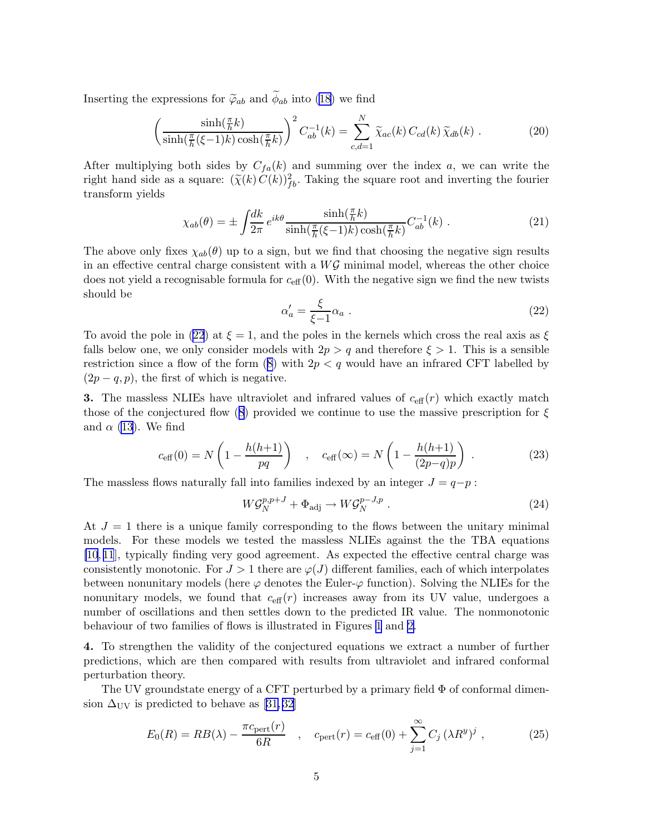<span id="page-5-0"></span>Inserting the expressions for  $\tilde{\varphi}_{ab}$  and  $\phi_{ab}$  into [\(18](#page-3-0)) we find

$$
\left(\frac{\sinh(\frac{\pi}{h}k)}{\sinh(\frac{\pi}{h}(\xi-1)k)\cosh(\frac{\pi}{h}k)}\right)^2 C_{ab}^{-1}(k) = \sum_{c,d=1}^N \widetilde{\chi}_{ac}(k) C_{cd}(k) \widetilde{\chi}_{db}(k) . \tag{20}
$$

After multiplying both sides by  $C_{fa}(k)$  and summing over the index a, we can write the right hand side as a square:  $(\widetilde{\chi}(k) C(k))_{fb}^2$ . Taking the square root and inverting the fourier transform yields

$$
\chi_{ab}(\theta) = \pm \int \frac{dk}{2\pi} e^{ik\theta} \frac{\sinh(\frac{\pi}{h}k)}{\sinh(\frac{\pi}{h}(\xi-1)k)\cosh(\frac{\pi}{h}k)} C_{ab}^{-1}(k) . \tag{21}
$$

The above only fixes  $\chi_{ab}(\theta)$  up to a sign, but we find that choosing the negative sign results in an effective central charge consistent with a  $W\mathcal{G}$  minimal model, whereas the other choice does not yield a recognisable formula for  $c_{\text{eff}}(0)$ . With the negative sign we find the new twists should be

$$
\alpha'_a = \frac{\xi}{\xi - 1} \alpha_a \tag{22}
$$

To avoid the pole in [\(22](#page-4-0)) at  $\xi = 1$ , and the poles in the kernels which cross the real axis as  $\xi$ falls below one, we only consider models with  $2p > q$  and therefore  $\xi > 1$ . This is a sensible restriction since a flow of the form  $(8)$  $(8)$  with  $2p < q$  would have an infrared CFT labelled by  $(2p - q, p)$ , the first of which is negative.

**3.** The massless NLIEs have ultraviolet and infrared values of  $c_{\text{eff}}(r)$  which exactly match those of the conjectured flow ([8\)](#page-1-0) provided we continue to use the massive prescription for  $\xi$ and  $\alpha$  [\(13](#page-3-0)). We find

$$
c_{\text{eff}}(0) = N\left(1 - \frac{h(h+1)}{pq}\right) , \quad c_{\text{eff}}(\infty) = N\left(1 - \frac{h(h+1)}{(2p-q)p}\right) .
$$
 (23)

The massless flows naturally fall into families indexed by an integer  $J = q-p$ :

$$
W\mathcal{G}_N^{p,p+J} + \Phi_{\text{adj}} \to W\mathcal{G}_N^{p-J,p} . \tag{24}
$$

At  $J = 1$  there is a unique family corresponding to the flows between the unitary minimal models. For these models we tested the massless NLIEs against the the TBA equations [\[10](#page-9-0), [11](#page-10-0)], typically finding very good agreement. As expected the effective central charge was consistently monotonic. For  $J > 1$  there are  $\varphi(J)$  different families, each of which interpolates between nonunitary models (here  $\varphi$  denotes the Euler- $\varphi$  function). Solving the NLIEs for the nonunitary models, we found that  $c_{\text{eff}}(r)$  increases away from its UV value, undergoes a number of oscillations and then settles down to the predicted IR value. The nonmonotonic behaviour of two families of flows is illustrated in Figures 1 and 2.

4. To strengthen the validity of the conjectured equations we extract a number of further predictions, which are then compared with results from ultraviolet and infrared conformal perturbation theory.

The UV groundstate energy of a CFT perturbed by a primary field  $\Phi$  of conformal dimen-sion $\Delta_{\rm UV}$  is predicted to behave as [31,32]

$$
E_0(R) = RB(\lambda) - \frac{\pi c_{\text{pert}}(r)}{6R} \quad , \quad c_{\text{pert}}(r) = c_{\text{eff}}(0) + \sum_{j=1}^{\infty} C_j (\lambda R^y)^j \quad , \tag{25}
$$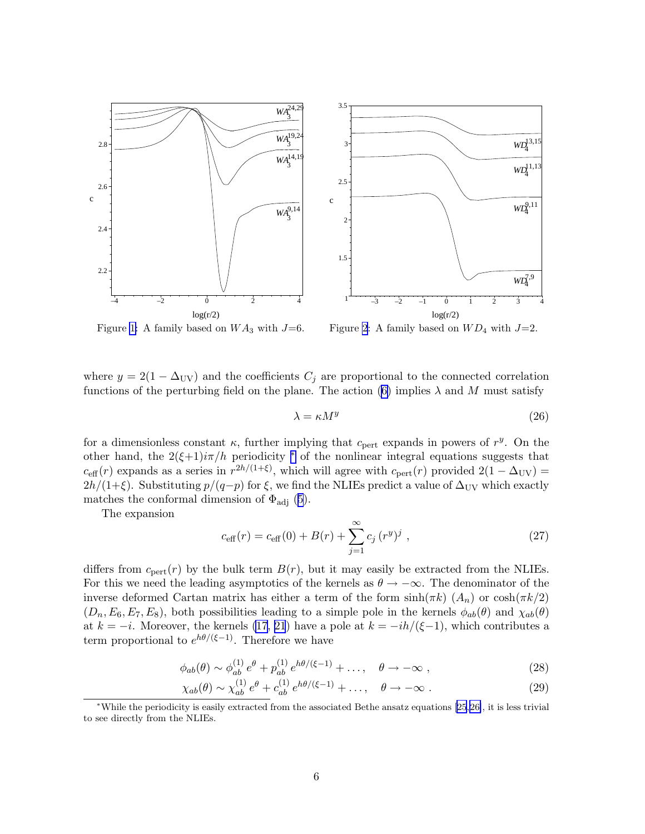

Figure [1:](#page-5-0) A family based on  $WA_3$  with  $J=6$ . Figure [2](#page-5-0): A family based on  $WD_4$  with  $J=2$ .

where  $y = 2(1 - \Delta_{UV})$  and the coefficients  $C_j$  are proportional to the connected correlation functions of the perturbing field on the plane. The action [\(6\)](#page-1-0) implies  $\lambda$  and M must satisfy

$$
\lambda = \kappa M^y \tag{26}
$$

for a dimensionless constant  $\kappa$ , further implying that  $c_{\text{pert}}$  expands in powers of  $r^y$ . On the other hand, the  $2(\xi+1)i\pi/h$  periodicity  $*$  of the nonlinear integral equations suggests that  $c_{\text{eff}}(r)$  expands as a series in  $r^{2h/(1+\xi)}$ , which will agree with  $c_{\text{pert}}(r)$  provided  $2(1 - \Delta_{\text{UV}})$  $2h/(1+\xi)$ . Substituting  $p/(q-p)$  for  $\xi$ , we find the NLIEs predict a value of  $\Delta_{UV}$  which exactly matches the conformal dimension of  $\Phi_{\text{adj}}$  ([5](#page-1-0)).

The expansion

$$
c_{\text{eff}}(r) = c_{\text{eff}}(0) + B(r) + \sum_{j=1}^{\infty} c_j (r^y)^j , \qquad (27)
$$

differs from  $c_{\text{pert}}(r)$  by the bulk term  $B(r)$ , but it may easily be extracted from the NLIEs. For this we need the leading asymptotics of the kernels as  $\theta \to -\infty$ . The denominator of the inverse deformed Cartan matrix has either a term of the form  $\sinh(\pi k)$   $(A_n)$  or  $\cosh(\pi k/2)$  $(D_n, E_6, E_7, E_8)$ , both possibilities leading to a simple pole in the kernels  $\phi_{ab}(\theta)$  and  $\chi_{ab}(\theta)$ at  $k = -i$ . Moreover, the kernels [\(17](#page-3-0), [21](#page-4-0)) have a pole at  $k = -ih/(\xi-1)$ , which contributes a term proportional to  $e^{h\theta/(\xi-1)}$ . Therefore we have

$$
\phi_{ab}(\theta) \sim \phi_{ab}^{(1)} e^{\theta} + p_{ab}^{(1)} e^{h\theta/(\xi - 1)} + \dots, \quad \theta \to -\infty ,
$$
\n(28)

$$
\chi_{ab}(\theta) \sim \chi_{ab}^{(1)} e^{\theta} + c_{ab}^{(1)} e^{h\theta/(\xi - 1)} + \dots, \quad \theta \to -\infty \tag{29}
$$

<sup>∗</sup>While the periodicity is easily extracted from the associated Bethe ansatz equations [\[25](#page-10-0),[26\]](#page-10-0), it is less trivial to see directly from the NLIEs.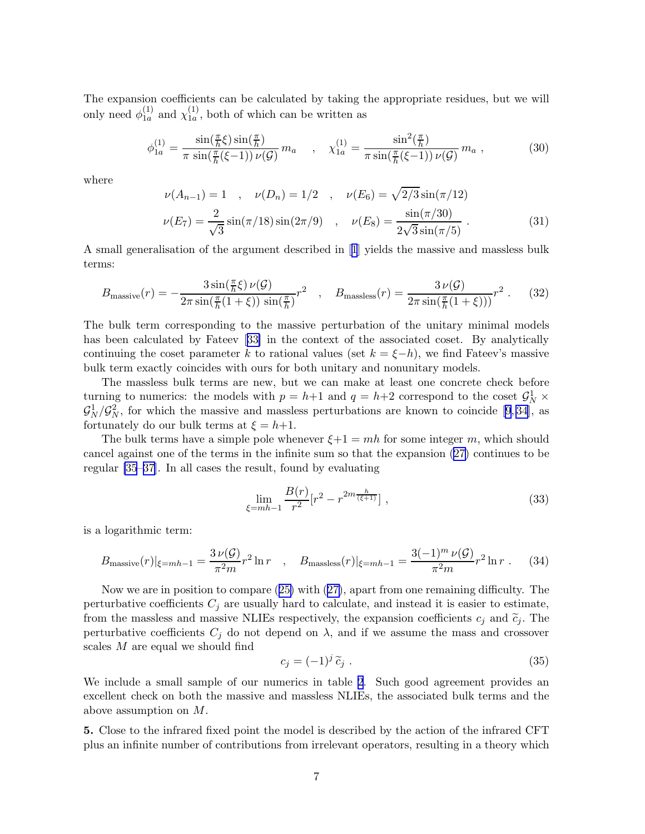<span id="page-7-0"></span>The expansion coefficients can be calculated by taking the appropriate residues, but we will only need  $\phi_{1a}^{(1)}$  $_{1a}^{(1)}$  and  $\chi_{1a}^{(1)}$  $\frac{1}{1a}$ , both of which can be written as

$$
\phi_{1a}^{(1)} = \frac{\sin(\frac{\pi}{h}\xi)\sin(\frac{\pi}{h})}{\pi \sin(\frac{\pi}{h}(\xi - 1))\nu(\mathcal{G})} m_a , \quad \chi_{1a}^{(1)} = \frac{\sin^2(\frac{\pi}{h})}{\pi \sin(\frac{\pi}{h}(\xi - 1))\nu(\mathcal{G})} m_a ,
$$
\n(30)

where

$$
\nu(A_{n-1}) = 1 \quad , \quad \nu(D_n) = 1/2 \quad , \quad \nu(E_6) = \sqrt{2/3} \sin(\pi/12)
$$

$$
\nu(E_7) = \frac{2}{\sqrt{3}} \sin(\pi/18) \sin(2\pi/9) \quad , \quad \nu(E_8) = \frac{\sin(\pi/30)}{2\sqrt{3}\sin(\pi/5)} \,. \tag{31}
$$

A small generalisation of the argument described in[[1](#page-9-0)] yields the massive and massless bulk terms:

$$
B_{\text{massive}}(r) = -\frac{3\sin(\frac{\pi}{h}\xi)\,\nu(\mathcal{G})}{2\pi\sin(\frac{\pi}{h}(1+\xi))\,\sin(\frac{\pi}{h})}r^2 \quad , \quad B_{\text{massless}}(r) = \frac{3\,\nu(\mathcal{G})}{2\pi\sin(\frac{\pi}{h}(1+\xi)))}r^2 \ . \tag{32}
$$

The bulk term corresponding to the massive perturbation of the unitary minimal models has been calculated by Fateev[[33\]](#page-10-0) in the context of the associated coset. By analytically continuing the coset parameter k to rational values (set  $k = \xi - h$ ), we find Fateev's massive bulk term exactly coincides with ours for both unitary and nonunitary models.

The massless bulk terms are new, but we can make at least one concrete check before turning to numerics: the models with  $p = h+1$  and  $q = h+2$  correspond to the coset  $\mathcal{G}_N^1$  ×  $\mathcal{G}_N^1/\mathcal{G}_N^2$ , for which the massive and massless perturbations are known to coincide [\[9](#page-9-0), [34](#page-10-0)], as fortunately do our bulk terms at  $\xi = h+1$ .

The bulk terms have a simple pole whenever  $\xi+1 = mh$  for some integer m, which should cancel against one of the terms in the infinite sum so that the expansion ([27\)](#page-5-0) continues to be regular [\[35](#page-10-0)–[37\]](#page-10-0). In all cases the result, found by evaluating

$$
\lim_{\xi = mh-1} \frac{B(r)}{r^2} [r^2 - r^{2m} \frac{h}{(\xi+1)}],
$$
\n(33)

is a logarithmic term:

$$
B_{\text{massive}}(r)|_{\xi = mh-1} = \frac{3\,\nu(\mathcal{G})}{\pi^2 m} r^2 \ln r \quad , \quad B_{\text{massless}}(r)|_{\xi = mh-1} = \frac{3(-1)^m\,\nu(\mathcal{G})}{\pi^2 m} r^2 \ln r \ . \tag{34}
$$

Now we are in position to compare ([25\)](#page-4-0) with ([27\)](#page-5-0), apart from one remaining difficulty. The perturbative coefficients  $C_j$  are usually hard to calculate, and instead it is easier to estimate, from the massless and massive NLIEs respectively, the expansion coefficients  $c_j$  and  $\tilde{c}_j$ . The perturbative coefficients  $C_j$  do not depend on  $\lambda$ , and if we assume the mass and crossover scales M are equal we should find

$$
c_j = (-1)^j \tilde{c}_j . \tag{35}
$$

We include a small sample of our numerics in table 2. Such good agreement provides an excellent check on both the massive and massless NLIEs, the associated bulk terms and the above assumption on M.

5. Close to the infrared fixed point the model is described by the action of the infrared CFT plus an infinite number of contributions from irrelevant operators, resulting in a theory which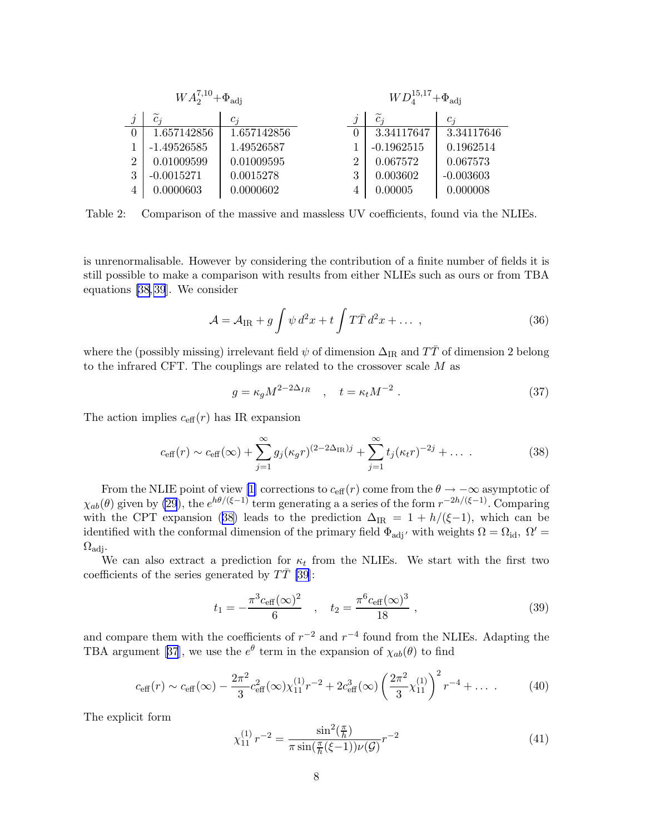| $WA_2^{7,10}+\Phi_{\rm adi}$ |               |             |          | $WD_{4}^{15,17}+\Phi_{\rm{adi}}$ |             |  |
|------------------------------|---------------|-------------|----------|----------------------------------|-------------|--|
|                              | $c_i$         | $c_i$       |          | $\overline{c_i}$                 | $c_i$       |  |
| $\Omega$                     | 1.657142856   | 1.657142856 | $\theta$ | 3.34117647                       | 3.34117646  |  |
|                              | $-1.49526585$ | 1.49526587  |          | $-0.1962515$                     | 0.1962514   |  |
| $\overline{2}$               | 0.01009599    | 0.01009595  | 2        | 0.067572                         | 0.067573    |  |
| 3                            | $-0.0015271$  | 0.0015278   | 3        | 0.003602                         | $-0.003603$ |  |
| 4                            | 0.0000603     | 0.0000602   |          | 0.00005                          | 0.000008    |  |

Table 2: Comparison of the massive and massless UV coefficients, found via the NLIEs.

is unrenormalisable. However by considering the contribution of a finite number of fields it is still possible to make a comparison with results from either NLIEs such as ours or from TBA equations [\[38, 39](#page-10-0)]. We consider

$$
\mathcal{A} = \mathcal{A}_{IR} + g \int \psi \, d^2x + t \int T \bar{T} \, d^2x + \dots \,, \tag{36}
$$

where the (possibly missing) irrelevant field  $\psi$  of dimension  $\Delta_{\rm IR}$  and  $T\bar{T}$  of dimension 2 belong to the infrared CFT. The couplings are related to the crossover scale M as

$$
g = \kappa_g M^{2 - 2\Delta_{IR}} \quad , \quad t = \kappa_t M^{-2} \tag{37}
$$

The action implies  $c_{\text{eff}}(r)$  has IR expansion

$$
c_{\text{eff}}(r) \sim c_{\text{eff}}(\infty) + \sum_{j=1}^{\infty} g_j(\kappa_g r)^{(2-2\Delta_{\text{IR}})j} + \sum_{j=1}^{\infty} t_j(\kappa_t r)^{-2j} + \dots \tag{38}
$$

From the NLIE point of view [\[1\]](#page-9-0) corrections to  $c_{\text{eff}}(r)$  come from the  $\theta \to -\infty$  asymptotic of  $\chi_{ab}(\theta)$  given by [\(29](#page-5-0)), the  $e^{h\theta/(\xi-1)}$  term generating a a series of the form  $r^{-2h/(\xi-1)}$ . Comparing with the CPT expansion [\(38\)](#page-7-0) leads to the prediction  $\Delta_{IR} = 1 + h/(\xi-1)$ , which can be identified with the conformal dimension of the primary field  $\Phi_{\text{adj}}$  *'* with weights  $\Omega = \Omega_{\text{id}}$ ,  $\Omega' =$  $\Omega_{\text{adi}}$ .

We can also extract a prediction for  $\kappa_t$  from the NLIEs. We start with the first two coefficients of the series generated by  $TT$  [\[39](#page-10-0)]:

$$
t_1 = -\frac{\pi^3 c_{\text{eff}}(\infty)^2}{6} \quad , \quad t_2 = \frac{\pi^6 c_{\text{eff}}(\infty)^3}{18} \quad , \tag{39}
$$

and compare them with the coefficients of  $r^{-2}$  and  $r^{-4}$  found from the NLIEs. Adapting the TBAargument [[37](#page-10-0)], we use the  $e^{\theta}$  term in the expansion of  $\chi_{ab}(\theta)$  to find

$$
c_{\text{eff}}(r) \sim c_{\text{eff}}(\infty) - \frac{2\pi^2}{3} c_{\text{eff}}^2(\infty) \chi_{11}^{(1)} r^{-2} + 2c_{\text{eff}}^3(\infty) \left(\frac{2\pi^2}{3} \chi_{11}^{(1)}\right)^2 r^{-4} + \dots \tag{40}
$$

The explicit form

$$
\chi_{11}^{(1)} r^{-2} = \frac{\sin^2(\frac{\pi}{h})}{\pi \sin(\frac{\pi}{h}(\xi - 1))\nu(\mathcal{G})} r^{-2}
$$
\n(41)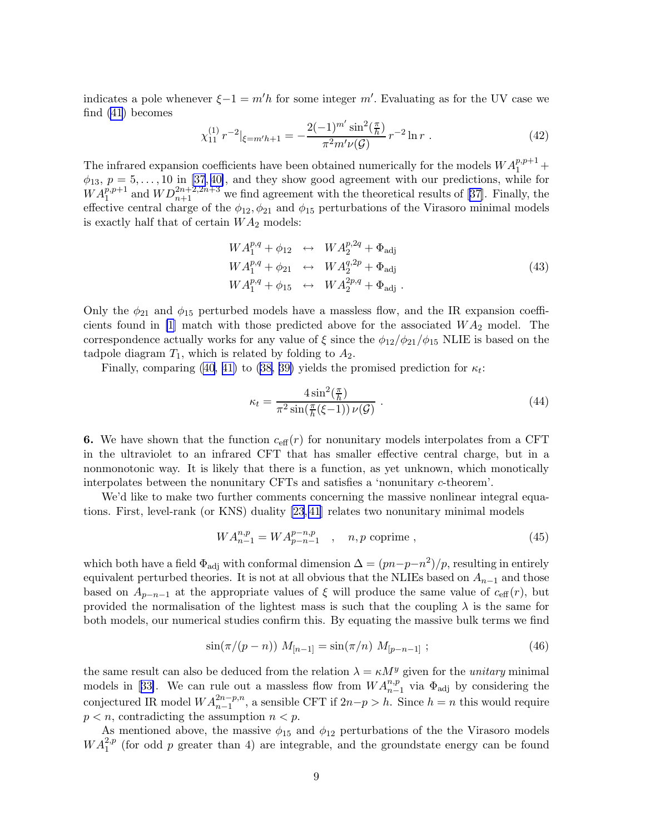<span id="page-9-0"></span>indicates a pole whenever  $\xi - 1 = m'h$  for some integer m'. Evaluating as for the UV case we find [\(41](#page-7-0)) becomes

$$
\chi_{11}^{(1)} r^{-2}|_{\xi = m'h+1} = -\frac{2(-1)^{m'} \sin^2(\frac{\pi}{h})}{\pi^2 m' \nu(\mathcal{G})} r^{-2} \ln r \ . \tag{42}
$$

The infrared expansion coefficients have been obtained numerically for the models  $WA_1^{p,p+1}$  +  $\phi_{13}, p = 5, \ldots, 10$  in [\[37](#page-10-0), [40\]](#page-10-0), and they show good agreement with our predictions, while for  $WA_1^{p,p+1}$  and  $WD_{n+1}^{2n+2,2n+3}$  we find agreement with the theoretical results of [\[37\]](#page-10-0). Finally, the effective central charge of the  $\phi_{12}, \phi_{21}$  and  $\phi_{15}$  perturbations of the Virasoro minimal models is exactly half that of certain  $WA<sub>2</sub>$  models:

$$
WA_1^{p,q} + \phi_{12} \leftrightarrow WA_2^{p,2q} + \Phi_{\text{adj}}
$$
  
\n
$$
WA_1^{p,q} + \phi_{21} \leftrightarrow WA_2^{q,2p} + \Phi_{\text{adj}}
$$
  
\n
$$
WA_1^{p,q} + \phi_{15} \leftrightarrow WA_2^{2p,q} + \Phi_{\text{adj}}
$$
 (43)

Only the  $\phi_{21}$  and  $\phi_{15}$  perturbed models have a massless flow, and the IR expansion coefficients found in [1] match with those predicted above for the associated  $WA_2$  model. The correspondence actually works for any value of  $\xi$  since the  $\phi_{12}/\phi_{21}/\phi_{15}$  NLIE is based on the tadpole diagram  $T_1$ , which is related by folding to  $A_2$ .

Finally, comparing [\(40, 41\)](#page-7-0) to [\(38, 39\)](#page-7-0) yields the promised prediction for  $\kappa_t$ :

$$
\kappa_t = \frac{4\sin^2(\frac{\pi}{h})}{\pi^2 \sin(\frac{\pi}{h}(\xi - 1))\,\nu(\mathcal{G})} \,. \tag{44}
$$

6. We have shown that the function  $c_{\text{eff}}(r)$  for nonunitary models interpolates from a CFT in the ultraviolet to an infrared CFT that has smaller effective central charge, but in a nonmonotonic way. It is likely that there is a function, as yet unknown, which monotically interpolates between the nonunitary CFTs and satisfies a 'nonunitary c-theorem'.

We'd like to make two further comments concerning the massive nonlinear integral equations. First, level-rank (or KNS) duality [\[23](#page-10-0), [41](#page-10-0)] relates two nonunitary minimal models

$$
WA_{n-1}^{n,p} = WA_{p-n-1}^{p-n,p} , \quad n, p \text{ coprime} , \tag{45}
$$

which both have a field  $\Phi_{\text{adj}}$  with conformal dimension  $\Delta = (pn - p - n^2)/p$ , resulting in entirely equivalent perturbed theories. It is not at all obvious that the NLIEs based on  $A_{n-1}$  and those based on  $A_{p-n-1}$  at the appropriate values of  $\xi$  will produce the same value of  $c_{\text{eff}}(r)$ , but provided the normalisation of the lightest mass is such that the coupling  $\lambda$  is the same for both models, our numerical studies confirm this. By equating the massive bulk terms we find

$$
\sin(\pi/(p-n)) M_{[n-1]} = \sin(\pi/n) M_{[p-n-1]} ; \qquad (46)
$$

the same result can also be deduced from the relation  $\lambda = \kappa M^y$  given for the *unitary* minimal modelsin [[33\]](#page-10-0). We can rule out a massless flow from  $WA_{n-1}^{n,p}$  via  $\Phi_{\text{adj}}$  by considering the conjectured IR model  $WA_{n-1}^{2n-p,n}$ , a sensible CFT if  $2n-p > h$ . Since  $h = n$  this would require  $p < n$ , contradicting the assumption  $n < p$ .

As mentioned above, the massive  $\phi_{15}$  and  $\phi_{12}$  perturbations of the the Virasoro models  $WA_1^{2,p}$  (for odd p greater than 4) are integrable, and the groundstate energy can be found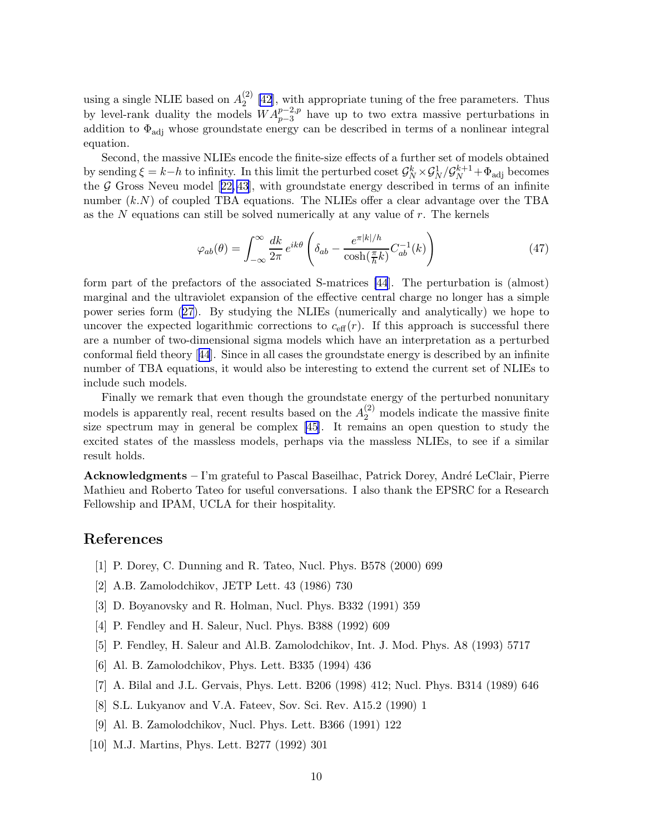<span id="page-10-0"></span>using a single NLIE based on  $A_2^{(2)}$  $\binom{2}{2}$  [42], with appropriate tuning of the free parameters. Thus by level-rank duality the models  $WA_{p-3}^{p-2,p}$  have up to two extra massive perturbations in addition to  $\Phi_{\text{adj}}$  whose groundstate energy can be described in terms of a nonlinear integral equation.

Second, the massive NLIEs encode the finite-size effects of a further set of models obtained by sending  $\xi = k-h$  to infinity. In this limit the perturbed coset  $\mathcal{G}_N^k \times \mathcal{G}_N^1 / \mathcal{G}_N^{k+1} + \Phi_{\text{adj}}$  becomes the  $G$  Gross Neveu model [22, [43](#page-11-0)], with groundstate energy described in terms of an infinite number  $(k.N)$  of coupled TBA equations. The NLIEs offer a clear advantage over the TBA as the  $N$  equations can still be solved numerically at any value of  $r$ . The kernels

$$
\varphi_{ab}(\theta) = \int_{-\infty}^{\infty} \frac{dk}{2\pi} e^{ik\theta} \left( \delta_{ab} - \frac{e^{\pi|k|/h}}{\cosh(\frac{\pi}{h}k)} C_{ab}^{-1}(k) \right)
$$
(47)

form part of the prefactors of the associated S-matrices [\[44](#page-11-0)]. The perturbation is (almost) marginal and the ultraviolet expansion of the effective central charge no longer has a simple power series form [\(27\)](#page-5-0). By studying the NLIEs (numerically and analytically) we hope to uncover the expected logarithmic corrections to  $c_{\text{eff}}(r)$ . If this approach is successful there are a number of two-dimensional sigma models which have an interpretation as a perturbed conformal field theory[[44](#page-11-0)]. Since in all cases the groundstate energy is described by an infinite number of TBA equations, it would also be interesting to extend the current set of NLIEs to include such models.

Finally we remark that even though the groundstate energy of the perturbed nonunitary models is apparently real, recent results based on the  $A_2^{(2)}$  models indicate the massive finite size spectrum may in general be complex [\[45\]](#page-11-0). It remains an open question to study the excited states of the massless models, perhaps via the massless NLIEs, to see if a similar result holds.

 $Acknowledgments - I'm grateful to Pascal Baseilhac, Patrick Dorey, André LeClair, Pierre$ Mathieu and Roberto Tateo for useful conversations. I also thank the EPSRC for a Research Fellowship and IPAM, UCLA for their hospitality.

#### References

- [1] P. Dorey, C. Dunning and R. Tateo, Nucl. Phys. B578 (2000) 699
- [2] A.B. Zamolodchikov, JETP Lett. 43 (1986) 730
- [3] D. Boyanovsky and R. Holman, Nucl. Phys. B332 (1991) 359
- [4] P. Fendley and H. Saleur, Nucl. Phys. B388 (1992) 609
- [5] P. Fendley, H. Saleur and Al.B. Zamolodchikov, Int. J. Mod. Phys. A8 (1993) 5717
- [6] Al. B. Zamolodchikov, Phys. Lett. B335 (1994) 436
- [7] A. Bilal and J.L. Gervais, Phys. Lett. B206 (1998) 412; Nucl. Phys. B314 (1989) 646
- [8] S.L. Lukyanov and V.A. Fateev, Sov. Sci. Rev. A15.2 (1990) 1
- [9] Al. B. Zamolodchikov, Nucl. Phys. Lett. B366 (1991) 122
- [10] M.J. Martins, Phys. Lett. B277 (1992) 301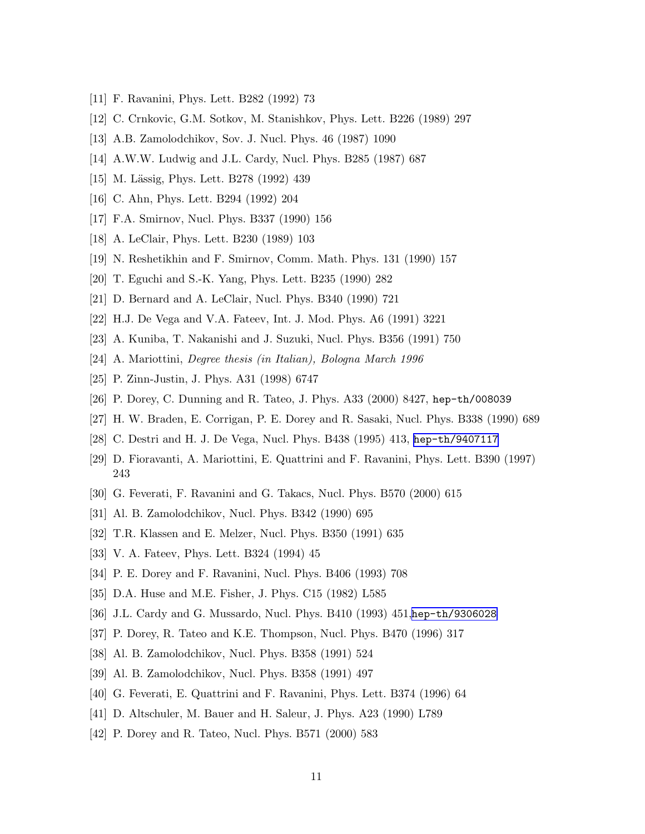- <span id="page-11-0"></span>[11] F. Ravanini, Phys. Lett. B282 (1992) 73
- [12] C. Crnkovic, G.M. Sotkov, M. Stanishkov, Phys. Lett. B226 (1989) 297
- [13] A.B. Zamolodchikov, Sov. J. Nucl. Phys. 46 (1987) 1090
- [14] A.W.W. Ludwig and J.L. Cardy, Nucl. Phys. B285 (1987) 687
- [15] M. Lässig, Phys. Lett. B278 (1992) 439
- [16] C. Ahn, Phys. Lett. B294 (1992) 204
- [17] F.A. Smirnov, Nucl. Phys. B337 (1990) 156
- [18] A. LeClair, Phys. Lett. B230 (1989) 103
- [19] N. Reshetikhin and F. Smirnov, Comm. Math. Phys. 131 (1990) 157
- [20] T. Eguchi and S.-K. Yang, Phys. Lett. B235 (1990) 282
- [21] D. Bernard and A. LeClair, Nucl. Phys. B340 (1990) 721
- [22] H.J. De Vega and V.A. Fateev, Int. J. Mod. Phys. A6 (1991) 3221
- [23] A. Kuniba, T. Nakanishi and J. Suzuki, Nucl. Phys. B356 (1991) 750
- [24] A. Mariottini, Degree thesis (in Italian), Bologna March 1996
- [25] P. Zinn-Justin, J. Phys. A31 (1998) 6747
- [26] P. Dorey, C. Dunning and R. Tateo, J. Phys. A33 (2000) 8427, hep-th/008039
- [27] H. W. Braden, E. Corrigan, P. E. Dorey and R. Sasaki, Nucl. Phys. B338 (1990) 689
- [28] C. Destri and H. J. De Vega, Nucl. Phys. B438 (1995) 413, [hep-th/9407117](http://arXiv.org/abs/hep-th/9407117)
- [29] D. Fioravanti, A. Mariottini, E. Quattrini and F. Ravanini, Phys. Lett. B390 (1997) 243
- [30] G. Feverati, F. Ravanini and G. Takacs, Nucl. Phys. B570 (2000) 615
- [31] Al. B. Zamolodchikov, Nucl. Phys. B342 (1990) 695
- [32] T.R. Klassen and E. Melzer, Nucl. Phys. B350 (1991) 635
- [33] V. A. Fateev, Phys. Lett. B324 (1994) 45
- [34] P. E. Dorey and F. Ravanini, Nucl. Phys. B406 (1993) 708
- [35] D.A. Huse and M.E. Fisher, J. Phys. C15 (1982) L585
- [36] J.L. Cardy and G. Mussardo, Nucl. Phys. B410 (1993) 451,[hep-th/9306028](http://arXiv.org/abs/hep-th/9306028)
- [37] P. Dorey, R. Tateo and K.E. Thompson, Nucl. Phys. B470 (1996) 317
- [38] Al. B. Zamolodchikov, Nucl. Phys. B358 (1991) 524
- [39] Al. B. Zamolodchikov, Nucl. Phys. B358 (1991) 497
- [40] G. Feverati, E. Quattrini and F. Ravanini, Phys. Lett. B374 (1996) 64
- [41] D. Altschuler, M. Bauer and H. Saleur, J. Phys. A23 (1990) L789
- [42] P. Dorey and R. Tateo, Nucl. Phys. B571 (2000) 583